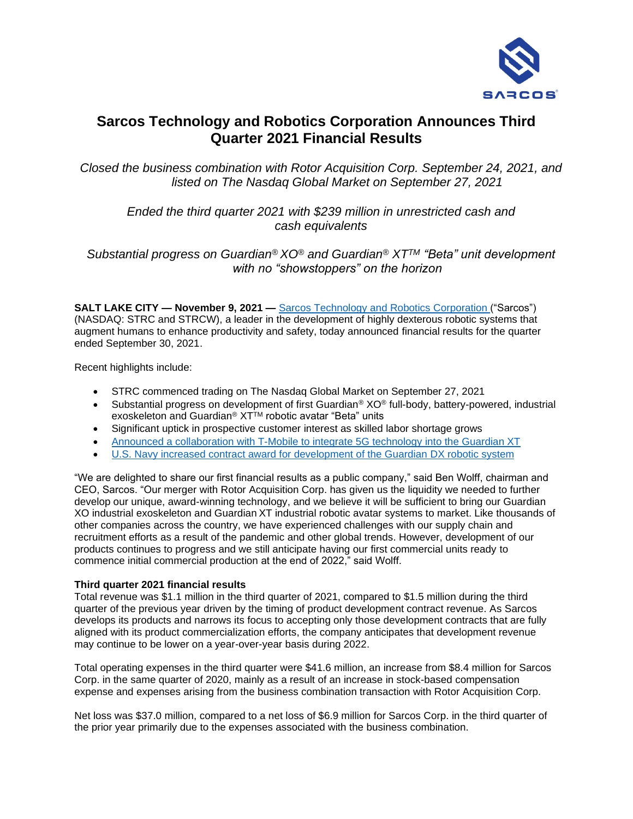

# **Sarcos Technology and Robotics Corporation Announces Third Quarter 2021 Financial Results**

*Closed the business combination with Rotor Acquisition Corp. September 24, 2021, and listed on The Nasdaq Global Market on September 27, 2021*

*Ended the third quarter 2021 with \$239 million in unrestricted cash and cash equivalents*

*Substantial progress on Guardian® XO® and Guardian® XTTM "Beta" unit development with no "showstoppers" on the horizon*

**SALT LAKE CITY — November 9, 2021 —** [Sarcos Technology and Robotics](http://www.sarcos.com/) Corporation ("Sarcos") (NASDAQ: STRC and STRCW), a leader in the development of highly dexterous robotic systems that augment humans to enhance productivity and safety, today announced financial results for the quarter ended September 30, 2021.

Recent highlights include:

- STRC commenced trading on The Nasdaq Global Market on September 27, 2021
- Substantial progress on development of first Guardian<sup>®</sup> XO<sup>®</sup> full-body, battery-powered, industrial exoskeleton and Guardian<sup>®</sup> XT<sup>™</sup> robotic avatar "Beta" units
- Significant uptick in prospective customer interest as skilled labor shortage grows
- Announced a collaboration [with T-Mobile to integrate 5G technology into the Guardian XT](https://www.sarcos.com/press-releases/sarcos-robotics-and-t-mobile-team-up-to-integrate-5g-into-guardian-xt-robot/)
- [U.S. Navy increased contract award for development of the Guardian DX](https://www.sarcos.com/press-releases/u-s-navy-increases-contract-award-for-sarcos-guardian-dx-highly-dexterous-mobile-robotic-avatar-system/) robotic system

"We are delighted to share our first financial results as a public company," said Ben Wolff, chairman and CEO, Sarcos. "Our merger with Rotor Acquisition Corp. has given us the liquidity we needed to further develop our unique, award-winning technology, and we believe it will be sufficient to bring our Guardian XO industrial exoskeleton and Guardian XT industrial robotic avatar systems to market. Like thousands of other companies across the country, we have experienced challenges with our supply chain and recruitment efforts as a result of the pandemic and other global trends. However, development of our products continues to progress and we still anticipate having our first commercial units ready to commence initial commercial production at the end of 2022," said Wolff.

### **Third quarter 2021 financial results**

Total revenue was \$1.1 million in the third quarter of 2021, compared to \$1.5 million during the third quarter of the previous year driven by the timing of product development contract revenue. As Sarcos develops its products and narrows its focus to accepting only those development contracts that are fully aligned with its product commercialization efforts, the company anticipates that development revenue may continue to be lower on a year-over-year basis during 2022.

Total operating expenses in the third quarter were \$41.6 million, an increase from \$8.4 million for Sarcos Corp. in the same quarter of 2020, mainly as a result of an increase in stock-based compensation expense and expenses arising from the business combination transaction with Rotor Acquisition Corp.

Net loss was \$37.0 million, compared to a net loss of \$6.9 million for Sarcos Corp. in the third quarter of the prior year primarily due to the expenses associated with the business combination.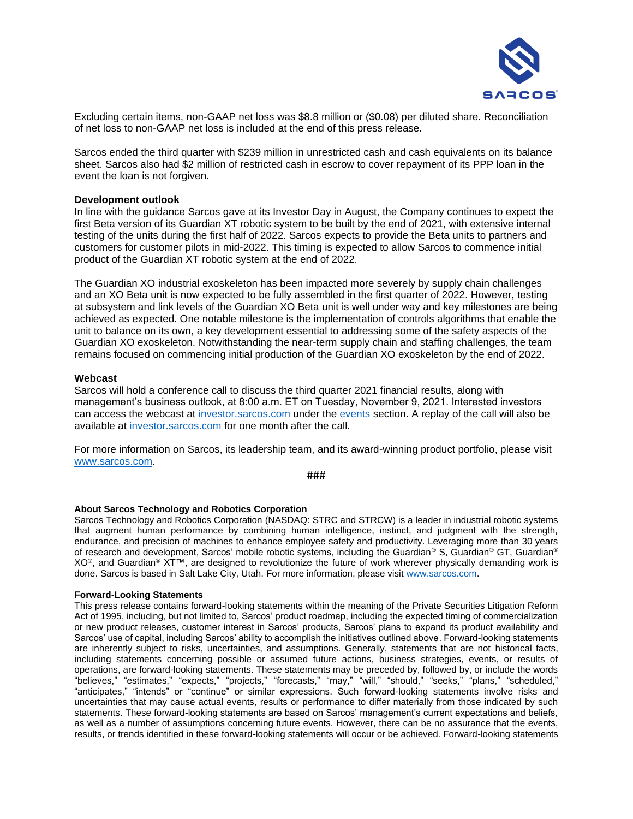

Excluding certain items, non-GAAP net loss was \$8.8 million or (\$0.08) per diluted share. Reconciliation of net loss to non-GAAP net loss is included at the end of this press release.

Sarcos ended the third quarter with \$239 million in unrestricted cash and cash equivalents on its balance sheet. Sarcos also had \$2 million of restricted cash in escrow to cover repayment of its PPP loan in the event the loan is not forgiven.

#### **Development outlook**

In line with the guidance Sarcos gave at its Investor Day in August, the Company continues to expect the first Beta version of its Guardian XT robotic system to be built by the end of 2021, with extensive internal testing of the units during the first half of 2022. Sarcos expects to provide the Beta units to partners and customers for customer pilots in mid-2022. This timing is expected to allow Sarcos to commence initial product of the Guardian XT robotic system at the end of 2022.

The Guardian XO industrial exoskeleton has been impacted more severely by supply chain challenges and an XO Beta unit is now expected to be fully assembled in the first quarter of 2022. However, testing at subsystem and link levels of the Guardian XO Beta unit is well under way and key milestones are being achieved as expected. One notable milestone is the implementation of controls algorithms that enable the unit to balance on its own, a key development essential to addressing some of the safety aspects of the Guardian XO exoskeleton. Notwithstanding the near-term supply chain and staffing challenges, the team remains focused on commencing initial production of the Guardian XO exoskeleton by the end of 2022.

#### **Webcast**

Sarcos will hold a conference call to discuss the third quarter 2021 financial results, along with management's business outlook, at 8:00 a.m. ET on Tuesday, November 9, 2021. Interested investors can access the webcast at [investor.sarcos.com](https://investor.sarcos.com/) under the [events](https://investor.sarcos.com/news-events/events) section. A replay of the call will also be available at [investor.sarcos.com](https://investor.sarcos.com/) for one month after the call.

For more information on Sarcos, its leadership team, and its award-winning product portfolio, please visit [www.sarcos.com.](http://www.sarcos.com/)

###

#### **About Sarcos Technology and Robotics Corporation**

Sarcos Technology and Robotics Corporation (NASDAQ: STRC and STRCW) is a leader in industrial robotic systems that augment human performance by combining human intelligence, instinct, and judgment with the strength, endurance, and precision of machines to enhance employee safety and productivity. Leveraging more than 30 years of research and development, Sarcos' mobile robotic systems, including the Guardian® S, Guardian® GT, Guardian® XO®, and Guardian® XT™, are designed to revolutionize the future of work wherever physically demanding work is done. Sarcos is based in Salt Lake City, Utah. For more information, please visit [www.sarcos.com.](http://www.sarcos.com/)

#### **Forward-Looking Statements**

This press release contains forward-looking statements within the meaning of the Private Securities Litigation Reform Act of 1995, including, but not limited to, Sarcos' product roadmap, including the expected timing of commercialization or new product releases, customer interest in Sarcos' products, Sarcos' plans to expand its product availability and Sarcos' use of capital, including Sarcos' ability to accomplish the initiatives outlined above. Forward-looking statements are inherently subject to risks, uncertainties, and assumptions. Generally, statements that are not historical facts, including statements concerning possible or assumed future actions, business strategies, events, or results of operations, are forward-looking statements. These statements may be preceded by, followed by, or include the words "believes," "estimates," "expects," "projects," "forecasts," "may," "will," "should," "seeks," "plans," "scheduled," "anticipates," "intends" or "continue" or similar expressions. Such forward-looking statements involve risks and uncertainties that may cause actual events, results or performance to differ materially from those indicated by such statements. These forward-looking statements are based on Sarcos' management's current expectations and beliefs, as well as a number of assumptions concerning future events. However, there can be no assurance that the events, results, or trends identified in these forward-looking statements will occur or be achieved. Forward-looking statements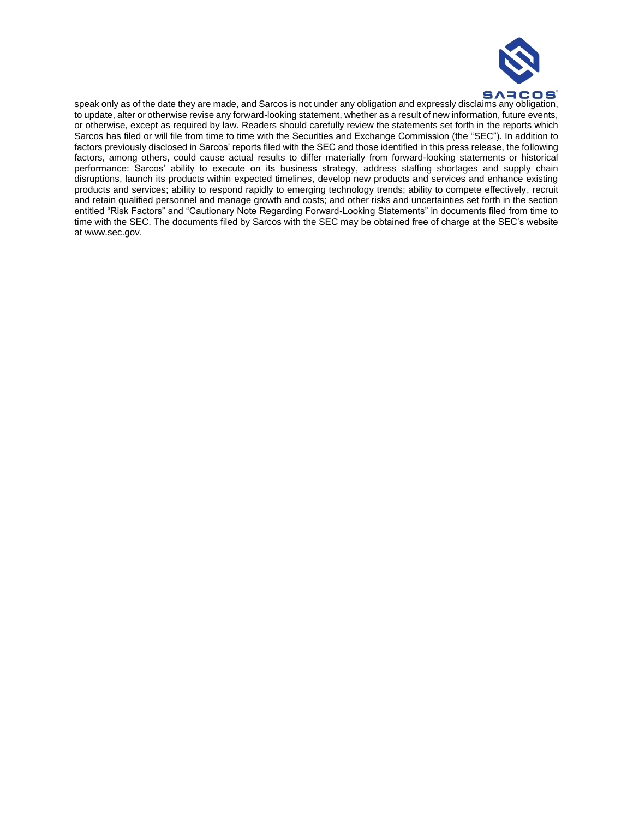

speak only as of the date they are made, and Sarcos is not under any obligation and expressly disclaims any obligation, to update, alter or otherwise revise any forward-looking statement, whether as a result of new information, future events, or otherwise, except as required by law. Readers should carefully review the statements set forth in the reports which Sarcos has filed or will file from time to time with the Securities and Exchange Commission (the "SEC"). In addition to factors previously disclosed in Sarcos' reports filed with the SEC and those identified in this press release, the following factors, among others, could cause actual results to differ materially from forward-looking statements or historical performance: Sarcos' ability to execute on its business strategy, address staffing shortages and supply chain disruptions, launch its products within expected timelines, develop new products and services and enhance existing products and services; ability to respond rapidly to emerging technology trends; ability to compete effectively, recruit and retain qualified personnel and manage growth and costs; and other risks and uncertainties set forth in the section entitled "Risk Factors" and "Cautionary Note Regarding Forward-Looking Statements" in documents filed from time to time with the SEC. The documents filed by Sarcos with the SEC may be obtained free of charge at the SEC's website at www.sec.gov.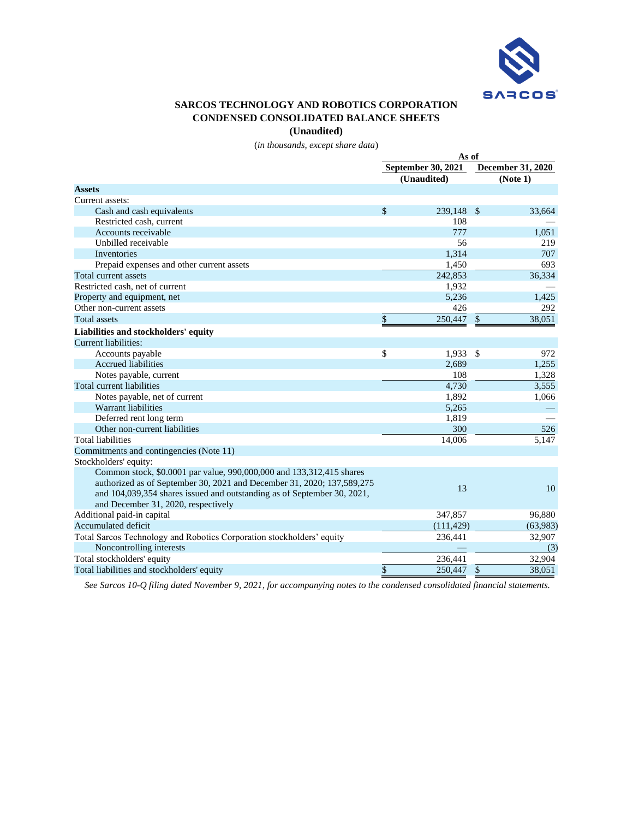

## **SARCOS TECHNOLOGY AND ROBOTICS CORPORATION CONDENSED CONSOLIDATED BALANCE SHEETS**

**(Unaudited)**

(*in thousands, except share data*)

|                                                                         | As of |                           |                          |          |  |
|-------------------------------------------------------------------------|-------|---------------------------|--------------------------|----------|--|
|                                                                         |       | <b>September 30, 2021</b> | <b>December 31, 2020</b> |          |  |
|                                                                         |       | (Unaudited)               |                          | (Note 1) |  |
| <b>Assets</b>                                                           |       |                           |                          |          |  |
| Current assets:                                                         |       |                           |                          |          |  |
| Cash and cash equivalents                                               | \$    | 239,148                   | $\mathcal{S}$            | 33.664   |  |
| Restricted cash, current                                                |       | 108                       |                          |          |  |
| Accounts receivable                                                     |       | 777                       |                          | 1,051    |  |
| Unbilled receivable                                                     |       | 56                        |                          | 219      |  |
| Inventories                                                             |       | 1,314                     |                          | 707      |  |
| Prepaid expenses and other current assets                               |       | 1,450                     |                          | 693      |  |
| Total current assets                                                    |       | 242,853                   |                          | 36,334   |  |
| Restricted cash, net of current                                         |       | 1,932                     |                          |          |  |
| Property and equipment, net                                             |       | 5,236                     |                          | 1,425    |  |
| Other non-current assets                                                |       | 426                       |                          | 292      |  |
| <b>Total assets</b>                                                     | \$    | 250,447                   | \$                       | 38,051   |  |
| Liabilities and stockholders' equity                                    |       |                           |                          |          |  |
| Current liabilities:                                                    |       |                           |                          |          |  |
| Accounts payable                                                        | \$    | 1,933                     | -\$                      | 972      |  |
| <b>Accrued liabilities</b>                                              |       | 2,689                     |                          | 1,255    |  |
| Notes payable, current                                                  |       | 108                       |                          | 1,328    |  |
| Total current liabilities                                               |       | 4,730                     |                          | 3,555    |  |
| Notes payable, net of current                                           |       | 1,892                     |                          | 1,066    |  |
| Warrant liabilities                                                     |       | 5,265                     |                          |          |  |
| Deferred rent long term                                                 |       | 1,819                     |                          |          |  |
| Other non-current liabilities                                           |       | 300                       |                          | 526      |  |
| <b>Total liabilities</b>                                                |       | 14,006                    |                          | 5,147    |  |
| Commitments and contingencies (Note 11)                                 |       |                           |                          |          |  |
| Stockholders' equity:                                                   |       |                           |                          |          |  |
| Common stock, \$0.0001 par value, 990,000,000 and 133,312,415 shares    |       |                           |                          |          |  |
| authorized as of September 30, 2021 and December 31, 2020; 137,589,275  |       |                           |                          |          |  |
| and 104,039,354 shares issued and outstanding as of September 30, 2021, |       | 13                        |                          | 10       |  |
| and December 31, 2020, respectively                                     |       |                           |                          |          |  |
| Additional paid-in capital                                              |       | 347,857                   |                          | 96,880   |  |
| <b>Accumulated deficit</b>                                              |       | (111, 429)                |                          | (63,983) |  |
| Total Sarcos Technology and Robotics Corporation stockholders' equity   |       | 236,441                   |                          | 32,907   |  |
| Noncontrolling interests                                                |       |                           |                          | (3)      |  |
| Total stockholders' equity                                              |       | 236,441                   |                          | 32,904   |  |
| Total liabilities and stockholders' equity                              | \$    | 250,447                   | \$                       | 38,051   |  |

*See Sarcos 10-Q filing dated November 9, 2021, for accompanying notes to the condensed consolidated financial statements.*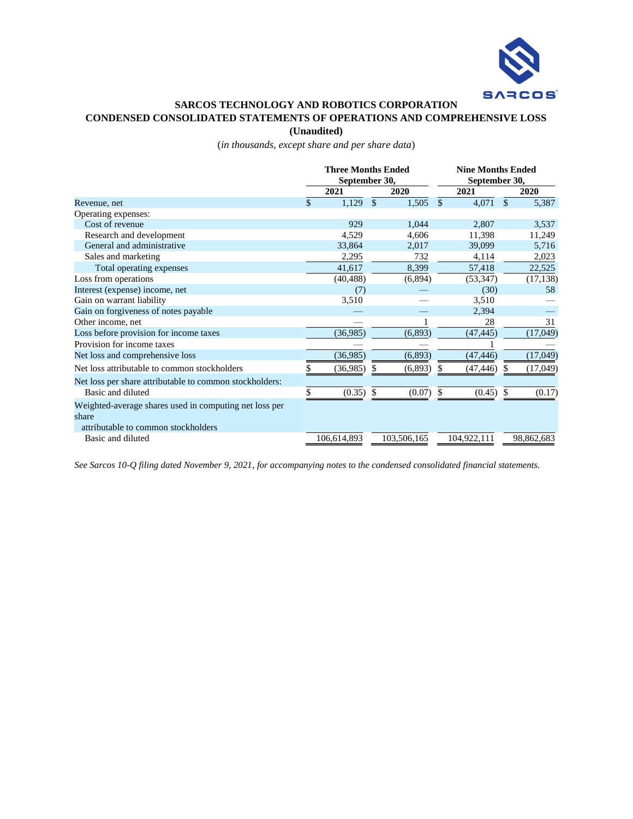

#### **SARCOS TECHNOLOGY AND ROBOTICS CORPORATION CONDENSED CONSOLIDATED STATEMENTS OF OPERATIONS AND COMPREHENSIVE LOSS**

**(Unaudited)**

(*in thousands, except share and per share data*)

|                                                         |     | <b>Three Months Ended</b><br>September 30, |     |             | <b>Nine Months Ended</b><br>September 30, |             |    |            |  |  |
|---------------------------------------------------------|-----|--------------------------------------------|-----|-------------|-------------------------------------------|-------------|----|------------|--|--|
|                                                         |     | 2021                                       |     | 2020        |                                           | 2021        |    | 2020       |  |  |
| Revenue, net                                            | \$. | 1,129                                      | -S  | 1,505       | $\mathcal{S}$                             | 4,071       | \$ | 5,387      |  |  |
| Operating expenses:                                     |     |                                            |     |             |                                           |             |    |            |  |  |
| Cost of revenue                                         |     | 929                                        |     | 1,044       |                                           | 2,807       |    | 3,537      |  |  |
| Research and development                                |     | 4,529                                      |     | 4,606       |                                           | 11,398      |    | 11,249     |  |  |
| General and administrative                              |     | 33,864                                     |     | 2,017       |                                           | 39,099      |    | 5,716      |  |  |
| Sales and marketing                                     |     | 2,295                                      |     | 732         |                                           | 4,114       |    | 2,023      |  |  |
| Total operating expenses                                |     | 41,617                                     |     | 8,399       |                                           | 57,418      |    | 22,525     |  |  |
| Loss from operations                                    |     | (40, 488)                                  |     | (6,894)     |                                           | (53, 347)   |    | (17, 138)  |  |  |
| Interest (expense) income, net                          |     | (7)                                        |     |             |                                           | (30)        |    | 58         |  |  |
| Gain on warrant liability                               |     | 3,510                                      |     |             |                                           | 3,510       |    |            |  |  |
| Gain on forgiveness of notes payable                    |     |                                            |     |             |                                           | 2,394       |    |            |  |  |
| Other income, net                                       |     |                                            |     |             |                                           | 28          |    | 31         |  |  |
| Loss before provision for income taxes                  |     | (36,985)                                   |     | (6,893)     |                                           | (47, 445)   |    | (17,049)   |  |  |
| Provision for income taxes                              |     |                                            |     |             |                                           |             |    |            |  |  |
| Net loss and comprehensive loss                         |     | (36,985)                                   |     | (6, 893)    |                                           | (47, 446)   |    | (17,049)   |  |  |
| Net loss attributable to common stockholders            |     | (36,985)                                   | S   | (6,893)     | S                                         | (47, 446)   | æ. | (17,049)   |  |  |
| Net loss per share attributable to common stockholders: |     |                                            |     |             |                                           |             |    |            |  |  |
| Basic and diluted                                       | \$  | (0.35)                                     | -\$ | (0.07)      | S                                         | (0.45)      | -S | (0.17)     |  |  |
| Weighted-average shares used in computing net loss per  |     |                                            |     |             |                                           |             |    |            |  |  |
| share                                                   |     |                                            |     |             |                                           |             |    |            |  |  |
| attributable to common stockholders                     |     |                                            |     |             |                                           |             |    |            |  |  |
| Basic and diluted                                       |     | 106,614,893                                |     | 103,506,165 |                                           | 104,922,111 |    | 98,862,683 |  |  |

*See Sarcos 10-Q filing dated November 9, 2021, for accompanying notes to the condensed consolidated financial statements.*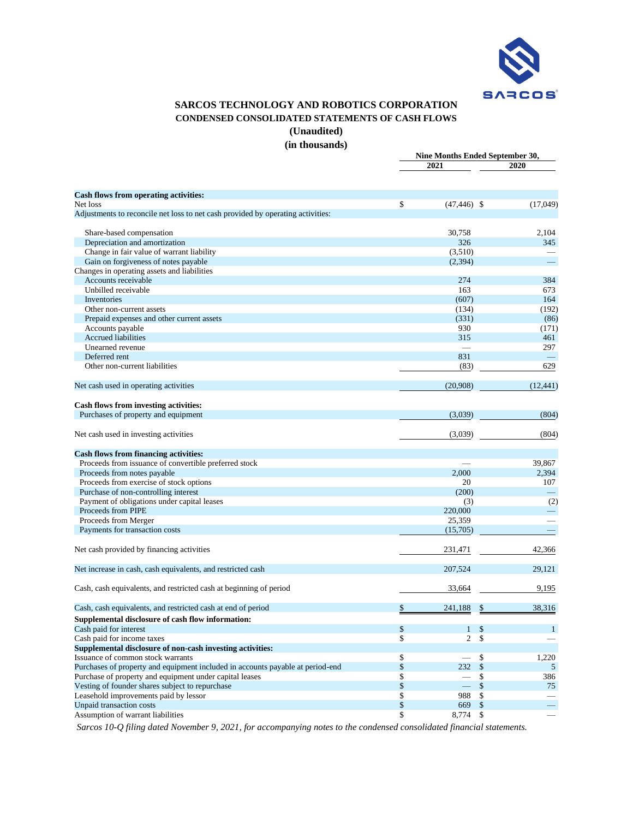

# **SARCOS TECHNOLOGY AND ROBOTICS CORPORATION CONDENSED CONSOLIDATED STATEMENTS OF CASH FLOWS**

**(Unaudited)**

**(in thousands)**

|                                                                                             | Nine Months Ended September 30,      |              |
|---------------------------------------------------------------------------------------------|--------------------------------------|--------------|
|                                                                                             | 2021                                 | 2020         |
|                                                                                             |                                      |              |
| Cash flows from operating activities:                                                       |                                      |              |
| Net loss<br>Adjustments to reconcile net loss to net cash provided by operating activities: | \$<br>$(47, 446)$ \$                 | (17,049)     |
| Share-based compensation                                                                    | 30,758                               | 2,104        |
| Depreciation and amortization                                                               | 326                                  | 345          |
| Change in fair value of warrant liability                                                   | (3,510)                              |              |
| Gain on forgiveness of notes payable                                                        | (2, 394)                             |              |
| Changes in operating assets and liabilities                                                 |                                      |              |
| Accounts receivable                                                                         | 274                                  | 384          |
| Unbilled receivable                                                                         | 163                                  | 673          |
| Inventories                                                                                 | (607)                                | 164          |
| Other non-current assets                                                                    | (134)                                | (192)        |
| Prepaid expenses and other current assets                                                   | (331)                                | (86)         |
| Accounts payable                                                                            | 930                                  | (171)        |
| <b>Accrued liabilities</b>                                                                  | 315                                  | 461          |
| Unearned revenue                                                                            |                                      | 297          |
| Deferred rent                                                                               | 831                                  |              |
| Other non-current liabilities                                                               | (83)                                 | 629          |
| Net cash used in operating activities                                                       | (20,908)                             | (12, 441)    |
| Cash flows from investing activities:                                                       |                                      |              |
| Purchases of property and equipment                                                         | (3,039)                              | (804)        |
|                                                                                             |                                      |              |
| Net cash used in investing activities                                                       | (3,039)                              | (804)        |
| <b>Cash flows from financing activities:</b>                                                |                                      |              |
| Proceeds from issuance of convertible preferred stock                                       |                                      | 39,867       |
| Proceeds from notes payable                                                                 | 2,000                                | 2,394        |
| Proceeds from exercise of stock options                                                     | 20                                   | 107          |
| Purchase of non-controlling interest                                                        | (200)                                |              |
| Payment of obligations under capital leases                                                 | (3)                                  | (2)          |
| Proceeds from PIPE                                                                          | 220,000                              |              |
| Proceeds from Merger                                                                        | 25,359                               |              |
| Payments for transaction costs                                                              | (15,705)                             |              |
| Net cash provided by financing activities                                                   | 231,471                              | 42,366       |
| Net increase in cash, cash equivalents, and restricted cash                                 | 207,524                              | 29,121       |
| Cash, cash equivalents, and restricted cash at beginning of period                          | 33,664                               | 9,195        |
| Cash, cash equivalents, and restricted cash at end of period                                | \$<br>241,188<br>\$                  | 38,316       |
| Supplemental disclosure of cash flow information:                                           |                                      |              |
| Cash paid for interest                                                                      | \$<br>$\mathbf{1}$<br>$\mathcal{S}$  | $\mathbf{1}$ |
| Cash paid for income taxes                                                                  | \$<br>$\overline{2}$<br>\$           |              |
| Supplemental disclosure of non-cash investing activities:                                   |                                      |              |
| Issuance of common stock warrants                                                           | \$<br>\$                             | 1,220        |
| Purchases of property and equipment included in accounts payable at period-end              | \$<br>\$<br>232                      | 5            |
| Purchase of property and equipment under capital leases                                     | \$<br>\$<br>$\overline{\phantom{a}}$ | 386          |
| Vesting of founder shares subject to repurchase                                             | \$<br>\$                             | 75           |
| Leasehold improvements paid by lessor                                                       | \$<br>988<br>\$                      |              |
| Unpaid transaction costs                                                                    | \$<br>$\$\,$<br>669                  |              |
| Assumption of warrant liabilities                                                           | \$<br>8,774 \$                       |              |

*Sarcos 10-Q filing dated November 9, 2021, for accompanying notes to the condensed consolidated financial statements.*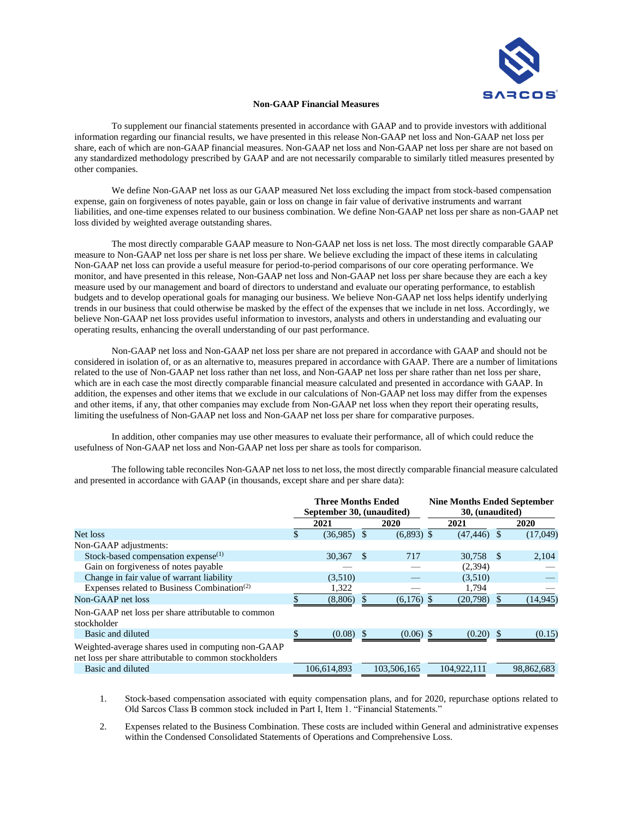

# **Non-GAAP Financial Measures**

To supplement our financial statements presented in accordance with GAAP and to provide investors with additional information regarding our financial results, we have presented in this release Non-GAAP net loss and Non-GAAP net loss per share, each of which are non-GAAP financial measures. Non-GAAP net loss and Non-GAAP net loss per share are not based on any standardized methodology prescribed by GAAP and are not necessarily comparable to similarly titled measures presented by other companies.

We define Non-GAAP net loss as our GAAP measured Net loss excluding the impact from stock-based compensation expense, gain on forgiveness of notes payable, gain or loss on change in fair value of derivative instruments and warrant liabilities, and one-time expenses related to our business combination. We define Non-GAAP net loss per share as non-GAAP net loss divided by weighted average outstanding shares.

The most directly comparable GAAP measure to Non-GAAP net loss is net loss. The most directly comparable GAAP measure to Non-GAAP net loss per share is net loss per share. We believe excluding the impact of these items in calculating Non-GAAP net loss can provide a useful measure for period-to-period comparisons of our core operating performance. We monitor, and have presented in this release, Non-GAAP net loss and Non-GAAP net loss per share because they are each a key measure used by our management and board of directors to understand and evaluate our operating performance, to establish budgets and to develop operational goals for managing our business. We believe Non-GAAP net loss helps identify underlying trends in our business that could otherwise be masked by the effect of the expenses that we include in net loss. Accordingly, we believe Non-GAAP net loss provides useful information to investors, analysts and others in understanding and evaluating our operating results, enhancing the overall understanding of our past performance.

Non-GAAP net loss and Non-GAAP net loss per share are not prepared in accordance with GAAP and should not be considered in isolation of, or as an alternative to, measures prepared in accordance with GAAP. There are a number of limitations related to the use of Non-GAAP net loss rather than net loss, and Non-GAAP net loss per share rather than net loss per share, which are in each case the most directly comparable financial measure calculated and presented in accordance with GAAP. In addition, the expenses and other items that we exclude in our calculations of Non-GAAP net loss may differ from the expenses and other items, if any, that other companies may exclude from Non-GAAP net loss when they report their operating results, limiting the usefulness of Non-GAAP net loss and Non-GAAP net loss per share for comparative purposes.

In addition, other companies may use other measures to evaluate their performance, all of which could reduce the usefulness of Non-GAAP net loss and Non-GAAP net loss per share as tools for comparison.

The following table reconciles Non-GAAP net loss to net loss, the most directly comparable financial measure calculated and presented in accordance with GAAP (in thousands, except share and per share data):

|                                                                                                              | <b>Three Months Ended</b><br>September 30, (unaudited) |               |      |              | <b>Nine Months Ended September</b><br>30, (unaudited) |                |      |            |  |  |
|--------------------------------------------------------------------------------------------------------------|--------------------------------------------------------|---------------|------|--------------|-------------------------------------------------------|----------------|------|------------|--|--|
|                                                                                                              |                                                        | 2021          | 2020 |              |                                                       | 2021           | 2020 |            |  |  |
| Net loss                                                                                                     | S                                                      | $(36,985)$ \$ |      | $(6,893)$ \$ |                                                       | $(47, 446)$ \$ |      | (17,049)   |  |  |
| Non-GAAP adjustments:                                                                                        |                                                        |               |      |              |                                                       |                |      |            |  |  |
| Stock-based compensation expense $(1)$                                                                       |                                                        | 30,367        | -S   | 717          |                                                       | 30,758         | -S   | 2,104      |  |  |
| Gain on forgiveness of notes payable                                                                         |                                                        |               |      |              |                                                       | (2,394)        |      |            |  |  |
| Change in fair value of warrant liability                                                                    |                                                        | (3,510)       |      |              |                                                       | (3,510)        |      |            |  |  |
| Expenses related to Business Combination <sup>(2)</sup>                                                      |                                                        | 1,322         |      |              |                                                       | 1,794          |      |            |  |  |
| Non-GAAP net loss                                                                                            |                                                        | (8,806)       |      | (6,176)      |                                                       | (20,798)       |      | (14, 945)  |  |  |
| Non-GAAP net loss per share attributable to common<br>stockholder                                            |                                                        |               |      |              |                                                       |                |      |            |  |  |
| Basic and diluted                                                                                            |                                                        | $(0.08)$ \$   |      | $(0.06)$ \$  |                                                       | (0.20)         | - \$ | (0.15)     |  |  |
| Weighted-average shares used in computing non-GAAP<br>net loss per share attributable to common stockholders |                                                        |               |      |              |                                                       |                |      |            |  |  |
| Basic and diluted                                                                                            |                                                        | 106.614.893   |      | 103.506.165  |                                                       | 104.922.111    |      | 98.862.683 |  |  |

1. Stock-based compensation associated with equity compensation plans, and for 2020, repurchase options related to Old Sarcos Class B common stock included in Part I, Item 1. "Financial Statements."

2. Expenses related to the Business Combination. These costs are included within General and administrative expenses within the Condensed Consolidated Statements of Operations and Comprehensive Loss.